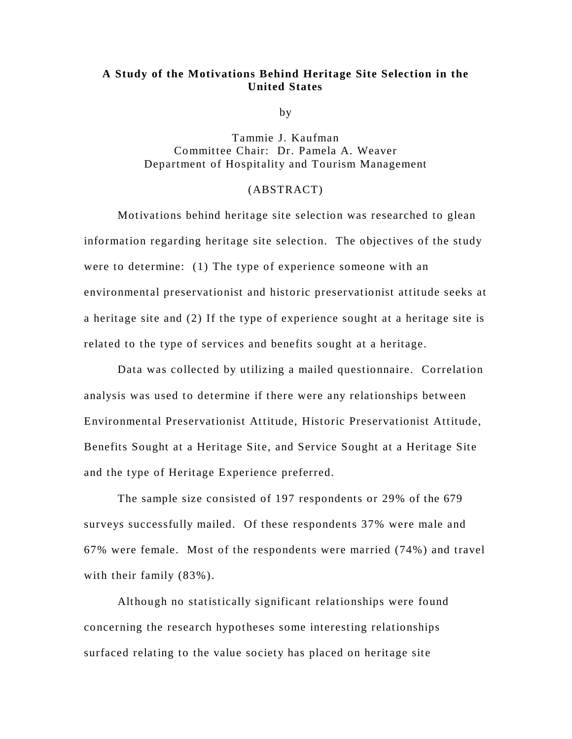## **A Study of the Motivations Behind Heritage Site Selection in the United States**

by

Tammie J. Kaufman Committee Chair: Dr. Pamela A. Weaver Department of Hospitality and Tourism Management

## (ABSTRACT)

Motivations behind heritage site selection was researched to glean information regarding heritage site selection. The objectives of the study were to determine: (1) The type of experience someone with an environmental preservationist and historic preservationist attitude seeks at a heritage site and (2) If the type of experience sought at a heritage site is related to the type of services and benefits sought at a heritage.

Data was collected by utilizing a mailed questionnaire. Correlation analysis was used to determine if there were any relationships between Environmental Preservationist Attitude, Historic Preservationist Attitude, Benefits Sought at a Heritage Site, and Service Sought at a Heritage Site and the type of Heritage Experience preferred.

The sample size consisted of 197 respondents or 29% of the 679 surveys successfully mailed. Of these respondents 37% were male and 67% were female. Most of the respondents were married (74%) and travel with their family (83%).

Although no statistically significant relationships were found concerning the research hypotheses some interesting relationships surfaced relating to the value society has placed on heritage site